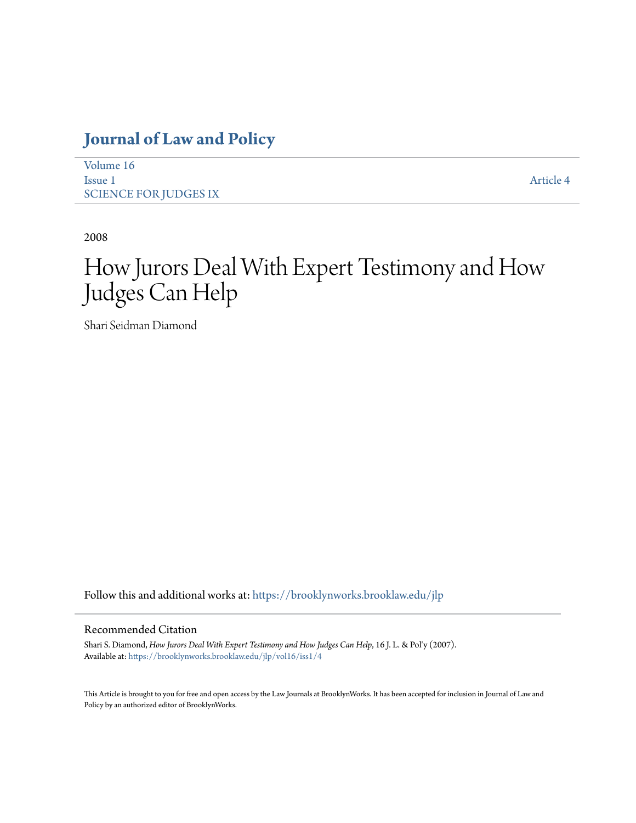## **[Journal of Law and Policy](https://brooklynworks.brooklaw.edu/jlp?utm_source=brooklynworks.brooklaw.edu%2Fjlp%2Fvol16%2Fiss1%2F4&utm_medium=PDF&utm_campaign=PDFCoverPages)**

| Volume 16             |           |
|-----------------------|-----------|
| Issue 1               | Article 4 |
| SCIENCE FOR JUDGES IX |           |

2008

# How Jurors Deal With Expert Testimony and How Judges Can Help

Shari Seidman Diamond

Follow this and additional works at: [https://brooklynworks.brooklaw.edu/jlp](https://brooklynworks.brooklaw.edu/jlp?utm_source=brooklynworks.brooklaw.edu%2Fjlp%2Fvol16%2Fiss1%2F4&utm_medium=PDF&utm_campaign=PDFCoverPages)

#### Recommended Citation

Shari S. Diamond, *How Jurors Deal With Expert Testimony and How Judges Can Help*, 16 J. L. & Pol'y (2007). Available at: [https://brooklynworks.brooklaw.edu/jlp/vol16/iss1/4](https://brooklynworks.brooklaw.edu/jlp/vol16/iss1/4?utm_source=brooklynworks.brooklaw.edu%2Fjlp%2Fvol16%2Fiss1%2F4&utm_medium=PDF&utm_campaign=PDFCoverPages)

This Article is brought to you for free and open access by the Law Journals at BrooklynWorks. It has been accepted for inclusion in Journal of Law and Policy by an authorized editor of BrooklynWorks.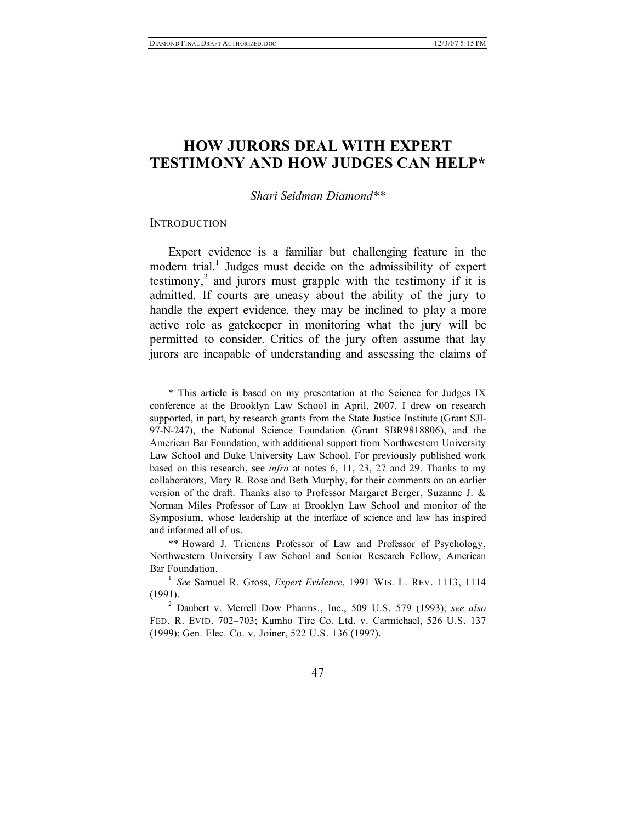### **HOW JURORS DEAL WITH EXPERT TESTIMONY AND HOW JUDGES CAN HELP\***

#### *Shari Seidman Diamond\*\**

#### **INTRODUCTION**

 $\overline{a}$ 

Expert evidence is a familiar but challenging feature in the modern trial. <sup>1</sup> Judges must decide on the admissibility of expert testimony,<sup>2</sup> and jurors must grapple with the testimony if it is admitted. If courts are uneasy about the ability of the jury to handle the expert evidence, they may be inclined to play a more active role as gatekeeper in monitoring what the jury will be permitted to consider. Critics of the jury often assume that lay jurors are incapable of understanding and assessing the claims of

<sup>\*</sup> This article is based on my presentation at the Science for Judges IX conference at the Brooklyn Law School in April, 2007. I drew on research supported, in part, by research grants from the State Justice Institute (Grant SJI-97-N-247), the National Science Foundation (Grant SBR9818806), and the American Bar Foundation, with additional support from Northwestern University Law School and Duke University Law School. For previously published work based on this research, see *infra* at notes 6, 11, 23, 27 and 29. Thanks to my collaborators, Mary R. Rose and Beth Murphy, for their comments on an earlier version of the draft. Thanks also to Professor Margaret Berger, Suzanne J. & Norman Miles Professor of Law at Brooklyn Law School and monitor of the Symposium, whose leadership at the interface of science and law has inspired and informed all of us.

<sup>\*\*</sup> Howard J. Trienens Professor of Law and Professor of Psychology, Northwestern University Law School and Senior Research Fellow, American Bar Foundation.

<sup>1</sup> *See* Samuel R. Gross, *Expert Evidence*, 1991 WIS. L. REV. 1113, 1114 (1991).

<sup>2</sup> Daubert v. Merrell Dow Pharms., Inc., 509 U.S. 579 (1993); *see also* FED. R. EVID. 702–703; Kumho Tire Co. Ltd. v. Carmichael, 526 U.S. 137 (1999); Gen. Elec. Co. v. Joiner, 522 U.S. 136 (1997).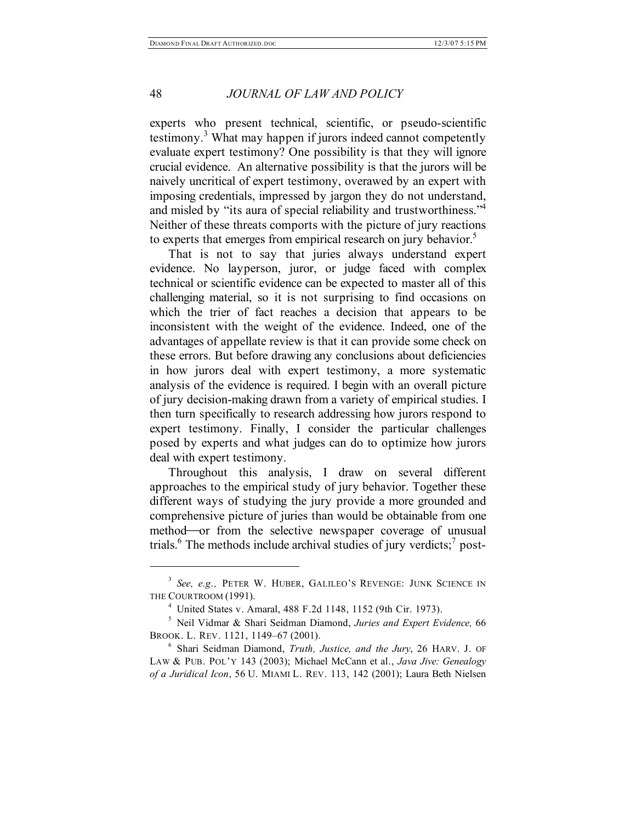experts who present technical, scientific, or pseudo-scientific testimony.<sup>3</sup> What may happen if jurors indeed cannot competently evaluate expert testimony? One possibility is that they will ignore crucial evidence. An alternative possibility is that the jurors will be naively uncritical of expert testimony, overawed by an expert with imposing credentials, impressed by jargon they do not understand, and misled by "its aura of special reliability and trustworthiness."4 Neither of these threats comports with the picture of jury reactions to experts that emerges from empirical research on jury behavior.<sup>5</sup>

That is not to say that juries always understand expert evidence. No layperson, juror, or judge faced with complex technical or scientific evidence can be expected to master all of this challenging material, so it is not surprising to find occasions on which the trier of fact reaches a decision that appears to be inconsistent with the weight of the evidence. Indeed, one of the advantages of appellate review is that it can provide some check on these errors. But before drawing any conclusions about deficiencies in how jurors deal with expert testimony, a more systematic analysis of the evidence is required. I begin with an overall picture of jury decision-making drawn from a variety of empirical studies. I then turn specifically to research addressing how jurors respond to expert testimony. Finally, I consider the particular challenges posed by experts and what judges can do to optimize how jurors deal with expert testimony.

Throughout this analysis, I draw on several different approaches to the empirical study of jury behavior. Together these different ways of studying the jury provide a more grounded and comprehensive picture of juries than would be obtainable from one method—or from the selective newspaper coverage of unusual trials. <sup>6</sup> The methods include archival studies of jury verdicts; <sup>7</sup> post-

<sup>3</sup> *See, e.g.,* PETER W. HUBER, GALILEO'S REVENGE: JUNK SCIENCE IN THE COURTROOM (1991).

<sup>4</sup> United States v. Amaral, 488 F.2d 1148, 1152 (9th Cir. 1973).

<sup>5</sup> Neil Vidmar & Shari Seidman Diamond, *Juries and Expert Evidence,* 66 BROOK. L. REV. 1121, 1149–67 (2001).

<sup>6</sup> Shari Seidman Diamond, *Truth, Justice, and the Jury*, 26 HARV. J. OF LAW & PUB. POL'Y 143 (2003); Michael McCann et al., *Java Jive: Genealogy of a Juridical Icon*, 56 U. MIAMI L. REV. 113, 142 (2001); Laura Beth Nielsen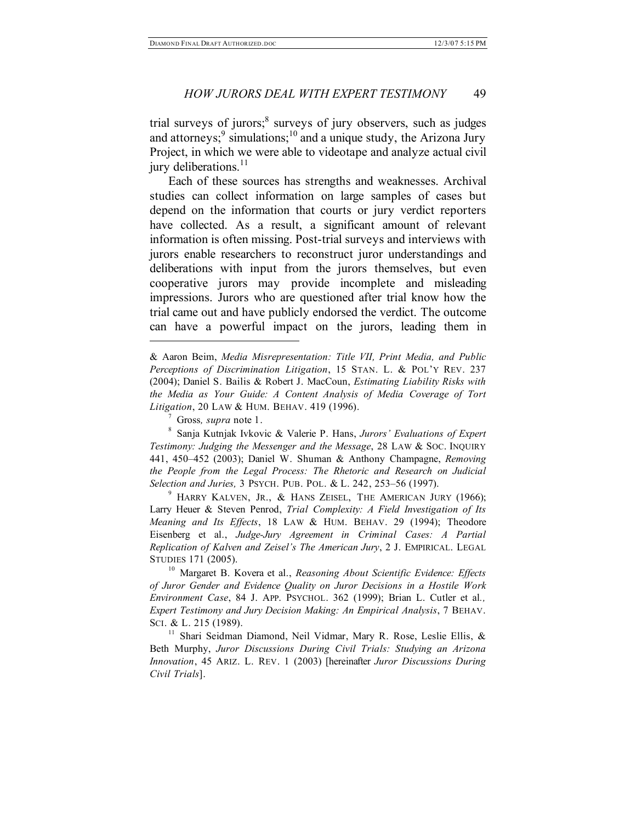trial surveys of jurors; <sup>8</sup> surveys of jury observers, such as judges and attorneys;  $9 \sin(10)$  and a unique study, the Arizona Jury Project, in which we were able to videotape and analyze actual civil jury deliberations.<sup>11</sup>

Each of these sources has strengths and weaknesses. Archival studies can collect information on large samples of cases but depend on the information that courts or jury verdict reporters have collected. As a result, a significant amount of relevant information is often missing. Post-trial surveys and interviews with jurors enable researchers to reconstruct juror understandings and deliberations with input from the jurors themselves, but even cooperative jurors may provide incomplete and misleading impressions. Jurors who are questioned after trial know how the trial came out and have publicly endorsed the verdict. The outcome can have a powerful impact on the jurors, leading them in

& Aaron Beim, *Media Misrepresentation: Title VII, Print Media, and Public Perceptions of Discrimination Litigation*, 15 STAN. L. & POL'Y REV. 237 (2004); Daniel S. Bailis & Robert J. MacCoun, *Estimating Liability Risks with the Media as Your Guide: A Content Analysis of Media Coverage of Tort Litigation*, 20 LAW & HUM. BEHAV. 419 (1996).

<sup>7</sup> Gross*, supra* note 1.

 $\overline{a}$ 

<sup>8</sup> Sanja Kutnjak Ivkovic & Valerie P. Hans, *Jurors' Evaluations of Expert Testimony: Judging the Messenger and the Message*, 28 LAW & SOC. INQUIRY 441, 450–452 (2003); Daniel W. Shuman & Anthony Champagne, *Removing the People from the Legal Process: The Rhetoric and Research on Judicial Selection and Juries,* 3 PSYCH. PUB. POL. & L. 242, 253–56 (1997).

 $9$  HARRY KALVEN, JR., & HANS ZEISEL, THE AMERICAN JURY (1966); Larry Heuer & Steven Penrod, *Trial Complexity: A Field Investigation of Its Meaning and Its Effects*, 18 LAW & HUM. BEHAV. 29 (1994); Theodore Eisenberg et al., *Judge-Jury Agreement in Criminal Cases: A Partial Replication of Kalven and Zeisel's The American Jury*, 2 J. EMPIRICAL. LEGAL STUDIES 171 (2005).

<sup>10</sup> Margaret B. Kovera et al., *Reasoning About Scientific Evidence: Effects of Juror Gender and Evidence Quality on Juror Decisions in a Hostile Work Environment Case*, 84 J. APP. PSYCHOL. 362 (1999); Brian L. Cutler et al*., Expert Testimony and Jury Decision Making: An Empirical Analysis*, 7 BEHAV. SCI. & L. 215 (1989).

<sup>11</sup> Shari Seidman Diamond, Neil Vidmar, Mary R. Rose, Leslie Ellis, & Beth Murphy, *Juror Discussions During Civil Trials: Studying an Arizona Innovation*, 45 ARIZ. L. REV. 1 (2003) [hereinafter *Juror Discussions During Civil Trials*].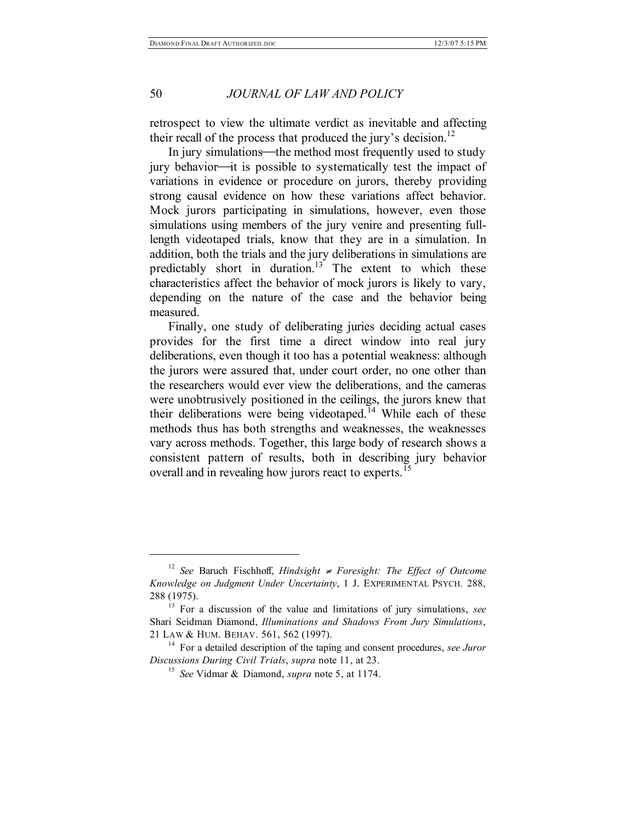retrospect to view the ultimate verdict as inevitable and affecting their recall of the process that produced the jury's decision.<sup>12</sup>

In jury simulations—the method most frequently used to study  $j$ ury behavior—it is possible to systematically test the impact of variations in evidence or procedure on jurors, thereby providing strong causal evidence on how these variations affect behavior. Mock jurors participating in simulations, however, even those simulations using members of the jury venire and presenting fulllength videotaped trials, know that they are in a simulation. In addition, both the trials and the jury deliberations in simulations are predictably short in duration.<sup>13</sup> The extent to which these characteristics affect the behavior of mock jurors is likely to vary, depending on the nature of the case and the behavior being measured.

Finally, one study of deliberating juries deciding actual cases provides for the first time a direct window into real jury deliberations, even though it too has a potential weakness: although the jurors were assured that, under court order, no one other than the researchers would ever view the deliberations, and the cameras were unobtrusively positioned in the ceilings, the jurors knew that their deliberations were being videotaped.<sup>14</sup> While each of these methods thus has both strengths and weaknesses, the weaknesses vary across methods. Together, this large body of research shows a consistent pattern of results, both in describing jury behavior overall and in revealing how jurors react to experts.<sup>15</sup>

<sup>12</sup> *See* Baruch Fischhoff, *Hindsight* <sup>≠</sup> *Foresight: The Effect of Outcome Knowledge on Judgment Under Uncertainty*, 1 J. EXPERIMENTAL PSYCH*.* 288, 288 (1975).

<sup>13</sup> For a discussion of the value and limitations of jury simulations, *see* Shari Seidman Diamond, *Illuminations and Shadows From Jury Simulations*, 21 LAW & HUM. BEHAV. 561, 562 (1997).

<sup>14</sup> For a detailed description of the taping and consent procedures, *see Juror Discussions During Civil Trials*, *supra* note 11, at 23.

<sup>15</sup> *See* Vidmar & Diamond, *supra* note 5, at 1174.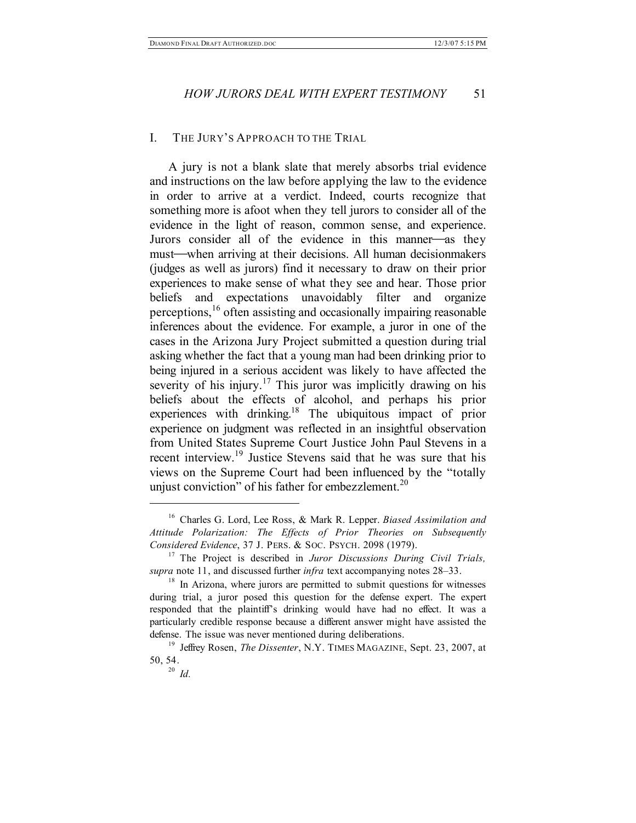#### I. THE JURY'S APPROACH TO THE TRIAL

A jury is not a blank slate that merely absorbs trial evidence and instructions on the law before applying the law to the evidence in order to arrive at a verdict. Indeed, courts recognize that something more is afoot when they tell jurors to consider all of the evidence in the light of reason, common sense, and experience. Jurors consider all of the evidence in this manner—as they must—when arriving at their decisions. All human decisionmakers (judges as well as jurors) find it necessary to draw on their prior experiences to make sense of what they see and hear. Those prior beliefs and expectations unavoidably filter and organize perceptions, <sup>16</sup> often assisting and occasionally impairing reasonable inferences about the evidence. For example, a juror in one of the cases in the Arizona Jury Project submitted a question during trial asking whether the fact that a young man had been drinking prior to being injured in a serious accident was likely to have affected the severity of his injury.<sup>17</sup> This juror was implicitly drawing on his beliefs about the effects of alcohol, and perhaps his prior experiences with drinking.<sup>18</sup> The ubiquitous impact of prior experience on judgment was reflected in an insightful observation from United States Supreme Court Justice John Paul Stevens in a recent interview. <sup>19</sup> Justice Stevens said that he was sure that his views on the Supreme Court had been influenced by the "totally unjust conviction" of his father for embezzlement. $20$ 

<sup>16</sup> Charles G. Lord, Lee Ross, & Mark R. Lepper. *Biased Assimilation and Attitude Polarization: The Effects of Prior Theories on Subsequently Considered Evidence*, 37 J. PERS. & SOC. PSYCH. 2098 (1979).

<sup>17</sup> The Project is described in *Juror Discussions During Civil Trials, supra* note 11, and discussed further *infra* text accompanying notes 28–33.

 $18$  In Arizona, where jurors are permitted to submit questions for witnesses during trial, a juror posed this question for the defense expert. The expert responded that the plaintiff's drinking would have had no effect. It was a particularly credible response because a different answer might have assisted the defense. The issue was never mentioned during deliberations.

<sup>&</sup>lt;sup>19</sup> Jeffrey Rosen, *The Dissenter*, N.Y. TIMES MAGAZINE, Sept. 23, 2007, at 50, 54.

<sup>20</sup> *Id.*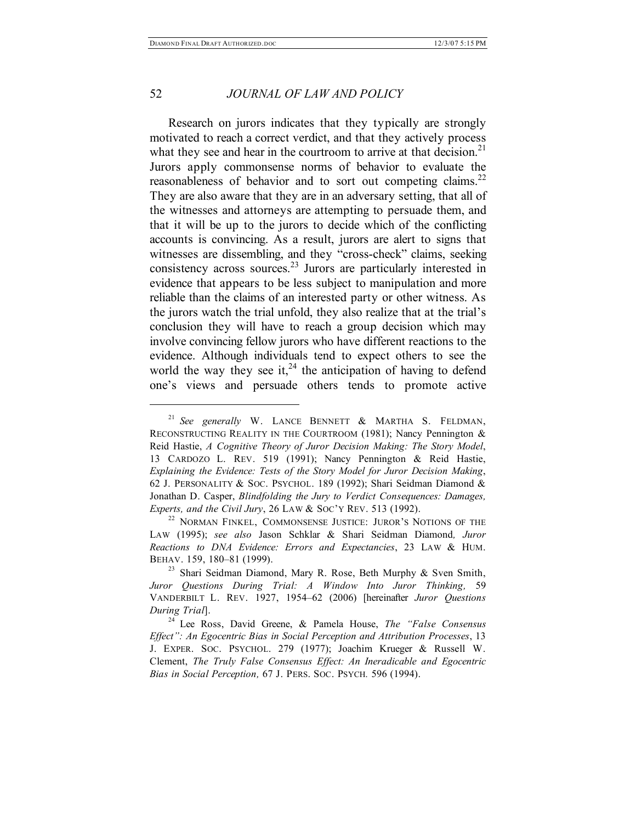#### 52 *JOURNAL OF LAW AND POLICY*

Research on jurors indicates that they typically are strongly motivated to reach a correct verdict, and that they actively process what they see and hear in the courtroom to arrive at that decision.<sup>21</sup> Jurors apply commonsense norms of behavior to evaluate the reasonableness of behavior and to sort out competing claims.<sup>22</sup> They are also aware that they are in an adversary setting, that all of the witnesses and attorneys are attempting to persuade them, and that it will be up to the jurors to decide which of the conflicting accounts is convincing. As a result, jurors are alert to signs that witnesses are dissembling, and they "cross-check" claims, seeking consistency across sources. <sup>23</sup> Jurors are particularly interested in evidence that appears to be less subject to manipulation and more reliable than the claims of an interested party or other witness. As the jurors watch the trial unfold, they also realize that at the trial's conclusion they will have to reach a group decision which may involve convincing fellow jurors who have different reactions to the evidence. Although individuals tend to expect others to see the world the way they see it,<sup>24</sup> the anticipation of having to defend one's views and persuade others tends to promote active

<sup>21</sup> *See generally* W. LANCE BENNETT & MARTHA S. FELDMAN, RECONSTRUCTING REALITY IN THE COURTROOM (1981); Nancy Pennington & Reid Hastie, *A Cognitive Theory of Juror Decision Making: The Story Model*, 13 CARDOZO L. REV. 519 (1991); Nancy Pennington & Reid Hastie, *Explaining the Evidence: Tests of the Story Model for Juror Decision Making*, 62 J. PERSONALITY & SOC. PSYCHOL. 189 (1992); Shari Seidman Diamond & Jonathan D. Casper, *Blindfolding the Jury to Verdict Consequences: Damages, Experts, and the Civil Jury*, 26 LAW & SOC'Y REV. 513 (1992).

<sup>&</sup>lt;sup>22</sup> NORMAN FINKEL, COMMONSENSE JUSTICE: JUROR'S NOTIONS OF THE LAW (1995); *see also* Jason Schklar & Shari Seidman Diamond*, Juror Reactions to DNA Evidence: Errors and Expectancies*, 23 LAW & HUM. BEHAV. 159, 180–81 (1999).

<sup>&</sup>lt;sup>23</sup> Shari Seidman Diamond, Mary R. Rose, Beth Murphy & Sven Smith, *Juror Questions During Trial: A Window Into Juror Thinking,* 59 VANDERBILT L. REV. 1927, 1954–62 (2006) [hereinafter *Juror Questions During Trial*].

<sup>24</sup> Lee Ross, David Greene, & Pamela House, *The "False Consensus Effect": An Egocentric Bias in Social Perception and Attribution Processes*, 13 J. EXPER. SOC. PSYCHOL. 279 (1977); Joachim Krueger & Russell W. Clement, *The Truly False Consensus Effect: An Ineradicable and Egocentric Bias in Social Perception,* 67 J. PERS. SOC. PSYCH*.* 596 (1994).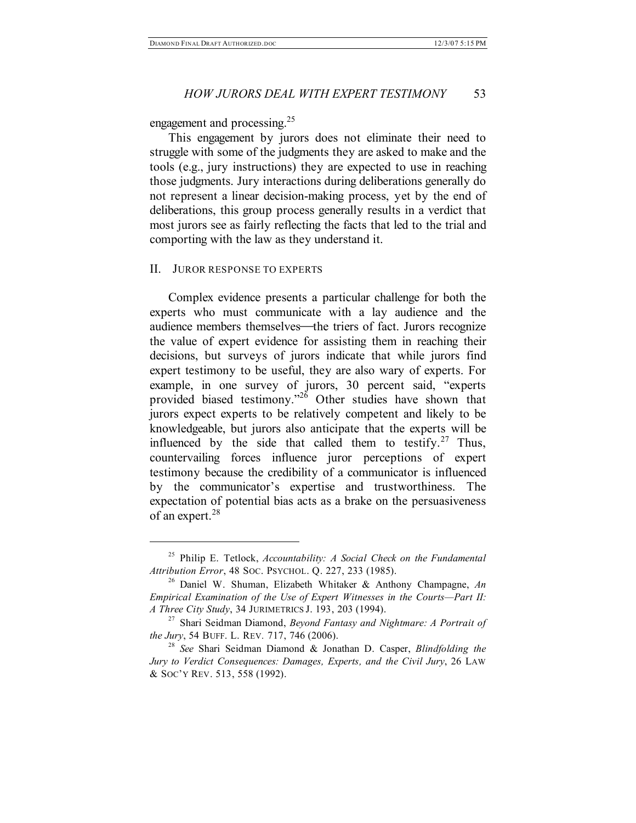engagement and processing. 25

This engagement by jurors does not eliminate their need to struggle with some of the judgments they are asked to make and the tools (e.g., jury instructions) they are expected to use in reaching those judgments. Jury interactions during deliberations generally do not represent a linear decision-making process, yet by the end of deliberations, this group process generally results in a verdict that most jurors see as fairly reflecting the facts that led to the trial and comporting with the law as they understand it.

#### II. JUROR RESPONSE TO EXPERTS

 $\overline{a}$ 

Complex evidence presents a particular challenge for both the experts who must communicate with a lay audience and the audience members themselves—the triers of fact. Jurors recognize the value of expert evidence for assisting them in reaching their decisions, but surveys of jurors indicate that while jurors find expert testimony to be useful, they are also wary of experts. For example, in one survey of jurors, 30 percent said, "experts provided biased testimony.<sup>226</sup> Other studies have shown that jurors expect experts to be relatively competent and likely to be knowledgeable, but jurors also anticipate that the experts will be influenced by the side that called them to testify. $27$  Thus, countervailing forces influence juror perceptions of expert testimony because the credibility of a communicator is influenced by the communicator's expertise and trustworthiness. The expectation of potential bias acts as a brake on the persuasiveness of an expert. 28

<sup>25</sup> Philip E. Tetlock, *Accountability: A Social Check on the Fundamental Attribution Error*, 48 SOC. PSYCHOL. Q. 227, 233 (1985).

<sup>26</sup> Daniel W. Shuman, Elizabeth Whitaker & Anthony Champagne, *An Empirical Examination of the Use of Expert Witnesses in the Courts—Part II: A Three City Study*, 34 JURIMETRICS J. 193, 203 (1994).

<sup>27</sup> Shari Seidman Diamond, *Beyond Fantasy and Nightmare: A Portrait of the Jury*, 54 BUFF. L. REV*.* 717, 746 (2006).

<sup>28</sup> *See* Shari Seidman Diamond & Jonathan D. Casper, *Blindfolding the Jury to Verdict Consequences: Damages, Experts, and the Civil Jury*, 26 LAW & SOC'Y REV. 513, 558 (1992).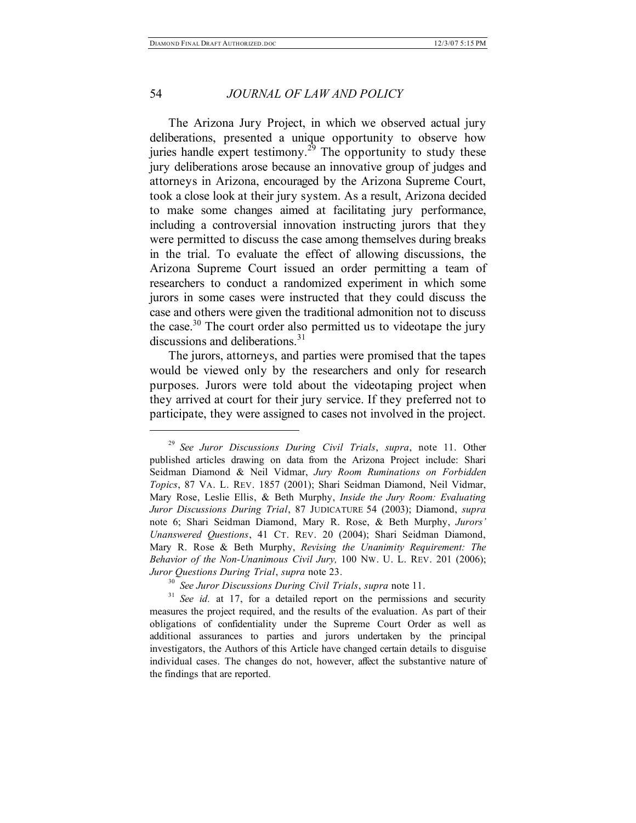#### 54 *JOURNAL OF LAW AND POLICY*

The Arizona Jury Project, in which we observed actual jury deliberations, presented a unique opportunity to observe how juries handle expert testimony.<sup>29</sup> The opportunity to study these jury deliberations arose because an innovative group of judges and attorneys in Arizona, encouraged by the Arizona Supreme Court, took a close look at their jury system. As a result, Arizona decided to make some changes aimed at facilitating jury performance, including a controversial innovation instructing jurors that they were permitted to discuss the case among themselves during breaks in the trial. To evaluate the effect of allowing discussions, the Arizona Supreme Court issued an order permitting a team of researchers to conduct a randomized experiment in which some jurors in some cases were instructed that they could discuss the case and others were given the traditional admonition not to discuss the case.<sup>30</sup> The court order also permitted us to videotape the jury discussions and deliberations. 31

The jurors, attorneys, and parties were promised that the tapes would be viewed only by the researchers and only for research purposes. Jurors were told about the videotaping project when they arrived at court for their jury service. If they preferred not to participate, they were assigned to cases not involved in the project.

<sup>29</sup> *See Juror Discussions During Civil Trials*, *supra*, note 11. Other published articles drawing on data from the Arizona Project include: Shari Seidman Diamond & Neil Vidmar, *Jury Room Ruminations on Forbidden Topics*, 87 VA. L. REV. 1857 (2001); Shari Seidman Diamond, Neil Vidmar, Mary Rose, Leslie Ellis, & Beth Murphy, *Inside the Jury Room: Evaluating Juror Discussions During Trial*, 87 JUDICATURE 54 (2003); Diamond, *supra* note 6; Shari Seidman Diamond, Mary R. Rose, & Beth Murphy, *Jurors' Unanswered Questions*, 41 CT. REV. 20 (2004); Shari Seidman Diamond, Mary R. Rose & Beth Murphy, *Revising the Unanimity Requirement: The Behavior of the Non-Unanimous Civil Jury,* 100 NW. U. L. REV. 201 (2006); *Juror Questions During Trial*, *supra* note 23.

<sup>30</sup> *See Juror Discussions During Civil Trials*, *supra* note 11.

See *id.* at 17, for a detailed report on the permissions and security measures the project required, and the results of the evaluation. As part of their obligations of confidentiality under the Supreme Court Order as well as additional assurances to parties and jurors undertaken by the principal investigators, the Authors of this Article have changed certain details to disguise individual cases. The changes do not, however, affect the substantive nature of the findings that are reported.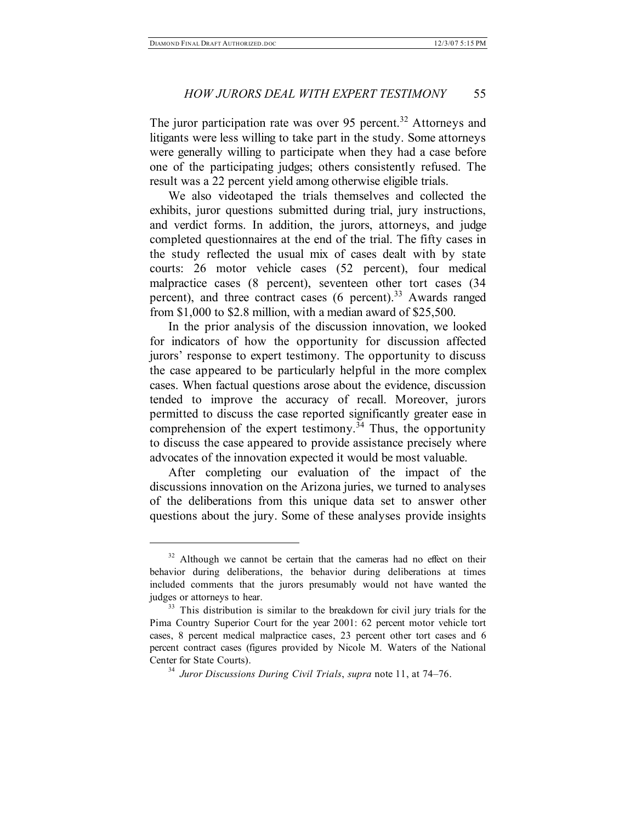#### *HOW JURORS DEAL WITH EXPERT TESTIMONY* 55

The juror participation rate was over 95 percent.<sup>32</sup> Attorneys and litigants were less willing to take part in the study. Some attorneys were generally willing to participate when they had a case before one of the participating judges; others consistently refused. The result was a 22 percent yield among otherwise eligible trials.

We also videotaped the trials themselves and collected the exhibits, juror questions submitted during trial, jury instructions, and verdict forms. In addition, the jurors, attorneys, and judge completed questionnaires at the end of the trial. The fifty cases in the study reflected the usual mix of cases dealt with by state courts: 26 motor vehicle cases (52 percent), four medical malpractice cases (8 percent), seventeen other tort cases (34 percent), and three contract cases (6 percent).<sup>33</sup> Awards ranged from \$1,000 to \$2.8 million, with a median award of \$25,500.

In the prior analysis of the discussion innovation, we looked for indicators of how the opportunity for discussion affected jurors' response to expert testimony. The opportunity to discuss the case appeared to be particularly helpful in the more complex cases. When factual questions arose about the evidence, discussion tended to improve the accuracy of recall. Moreover, jurors permitted to discuss the case reported significantly greater ease in comprehension of the expert testimony.<sup>34</sup> Thus, the opportunity to discuss the case appeared to provide assistance precisely where advocates of the innovation expected it would be most valuable.

After completing our evaluation of the impact of the discussions innovation on the Arizona juries, we turned to analyses of the deliberations from this unique data set to answer other questions about the jury. Some of these analyses provide insights

 $32$  Although we cannot be certain that the cameras had no effect on their behavior during deliberations, the behavior during deliberations at times included comments that the jurors presumably would not have wanted the judges or attorneys to hear.

<sup>&</sup>lt;sup>33</sup> This distribution is similar to the breakdown for civil jury trials for the Pima Country Superior Court for the year 2001: 62 percent motor vehicle tort cases, 8 percent medical malpractice cases, 23 percent other tort cases and 6 percent contract cases (figures provided by Nicole M. Waters of the National Center for State Courts).

<sup>34</sup> *Juror Discussions During Civil Trials*, *supra* note 11, at 74–76.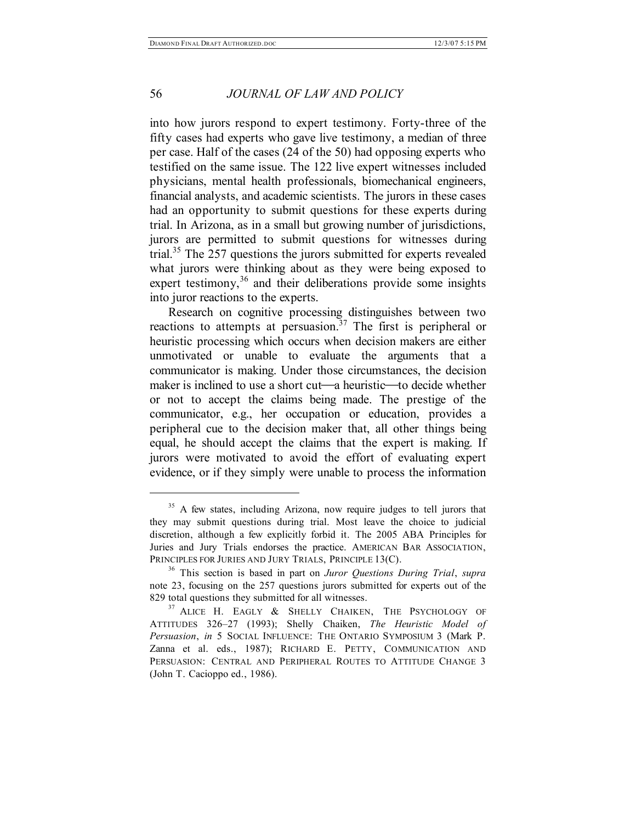#### 56 *JOURNAL OF LAW AND POLICY*

into how jurors respond to expert testimony. Forty-three of the fifty cases had experts who gave live testimony, a median of three per case. Half of the cases (24 of the 50) had opposing experts who testified on the same issue. The 122 live expert witnesses included physicians, mental health professionals, biomechanical engineers, financial analysts, and academic scientists. The jurors in these cases had an opportunity to submit questions for these experts during trial. In Arizona, as in a small but growing number of jurisdictions, jurors are permitted to submit questions for witnesses during trial. <sup>35</sup> The 257 questions the jurors submitted for experts revealed what jurors were thinking about as they were being exposed to expert testimony,<sup>36</sup> and their deliberations provide some insights into juror reactions to the experts.

Research on cognitive processing distinguishes between two reactions to attempts at persuasion.<sup>37</sup> The first is peripheral or heuristic processing which occurs when decision makers are either unmotivated or unable to evaluate the arguments that a communicator is making. Under those circumstances, the decision maker is inclined to use a short cut—a heuristic—to decide whether or not to accept the claims being made. The prestige of the communicator, e.g., her occupation or education, provides a peripheral cue to the decision maker that, all other things being equal, he should accept the claims that the expert is making. If jurors were motivated to avoid the effort of evaluating expert evidence, or if they simply were unable to process the information

<sup>&</sup>lt;sup>35</sup> A few states, including Arizona, now require judges to tell jurors that they may submit questions during trial. Most leave the choice to judicial discretion, although a few explicitly forbid it. The 2005 ABA Principles for Juries and Jury Trials endorses the practice. AMERICAN BAR ASSOCIATION, PRINCIPLES FOR JURIES AND JURY TRIALS, PRINCIPLE 13(C).

<sup>36</sup> This section is based in part on *Juror Questions During Trial*, *supra* note 23, focusing on the 257 questions jurors submitted for experts out of the 829 total questions they submitted for all witnesses.

<sup>&</sup>lt;sup>37</sup> ALICE H. EAGLY & SHELLY CHAIKEN, THE PSYCHOLOGY OF ATTITUDES 326–27 (1993); Shelly Chaiken, *The Heuristic Model of Persuasion*, *in* 5 SOCIAL INFLUENCE: THE ONTARIO SYMPOSIUM 3 (Mark P. Zanna et al. eds., 1987); RICHARD E. PETTY, COMMUNICATION AND PERSUASION: CENTRAL AND PERIPHERAL ROUTES TO ATTITUDE CHANGE 3 (John T. Cacioppo ed., 1986).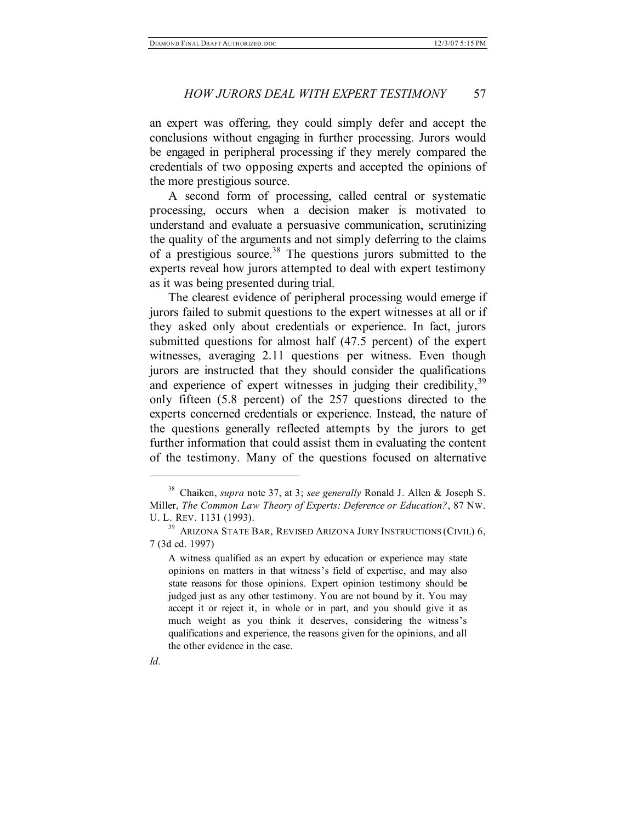an expert was offering, they could simply defer and accept the conclusions without engaging in further processing. Jurors would be engaged in peripheral processing if they merely compared the credentials of two opposing experts and accepted the opinions of the more prestigious source.

A second form of processing, called central or systematic processing, occurs when a decision maker is motivated to understand and evaluate a persuasive communication, scrutinizing the quality of the arguments and not simply deferring to the claims of a prestigious source. <sup>38</sup> The questions jurors submitted to the experts reveal how jurors attempted to deal with expert testimony as it was being presented during trial.

The clearest evidence of peripheral processing would emerge if jurors failed to submit questions to the expert witnesses at all or if they asked only about credentials or experience. In fact, jurors submitted questions for almost half (47.5 percent) of the expert witnesses, averaging 2.11 questions per witness. Even though jurors are instructed that they should consider the qualifications and experience of expert witnesses in judging their credibility,<sup>39</sup> only fifteen (5.8 percent) of the 257 questions directed to the experts concerned credentials or experience. Instead, the nature of the questions generally reflected attempts by the jurors to get further information that could assist them in evaluating the content of the testimony. Many of the questions focused on alternative

A witness qualified as an expert by education or experience may state opinions on matters in that witness's field of expertise, and may also state reasons for those opinions. Expert opinion testimony should be judged just as any other testimony. You are not bound by it. You may accept it or reject it, in whole or in part, and you should give it as much weight as you think it deserves, considering the witness's qualifications and experience, the reasons given for the opinions, and all the other evidence in the case.



<sup>38</sup> Chaiken, *supra* note 37, at 3; *see generally* Ronald J. Allen & Joseph S. Miller, *The Common Law Theory of Experts: Deference or Education?*, 87 NW. U. L. REV. 1131 (1993).

<sup>39</sup> ARIZONA STATE BAR, REVISED ARIZONA JURY INSTRUCTIONS (CIVIL) 6, 7 (3d ed. 1997)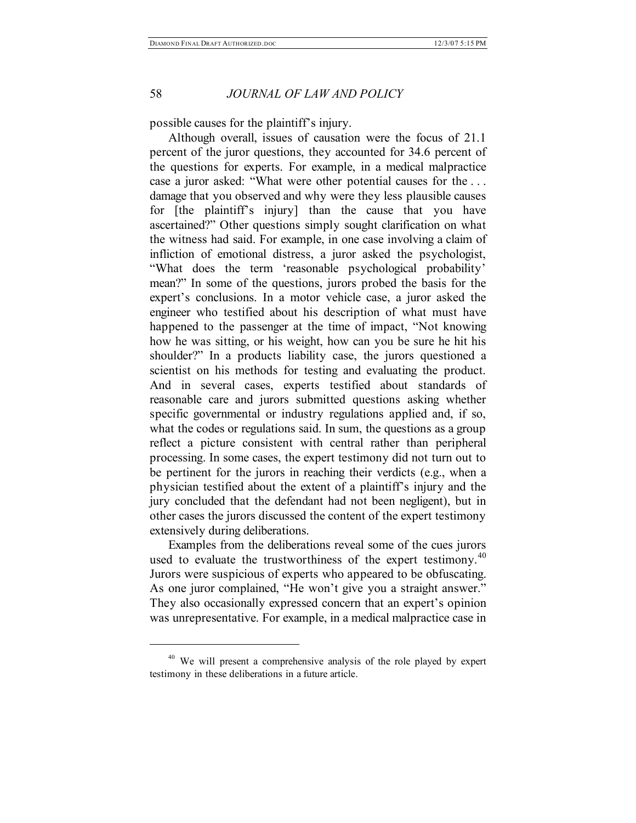possible causes for the plaintiff's injury.

Although overall, issues of causation were the focus of 21.1 percent of the juror questions, they accounted for 34.6 percent of the questions for experts. For example, in a medical malpractice case a juror asked: "What were other potential causes for the . . . damage that you observed and why were they less plausible causes for [the plaintiff's injury] than the cause that you have ascertained?" Other questions simply sought clarification on what the witness had said. For example, in one case involving a claim of infliction of emotional distress, a juror asked the psychologist, "What does the term 'reasonable psychological probability' mean?" In some of the questions, jurors probed the basis for the expert's conclusions. In a motor vehicle case, a juror asked the engineer who testified about his description of what must have happened to the passenger at the time of impact, "Not knowing how he was sitting, or his weight, how can you be sure he hit his shoulder?" In a products liability case, the jurors questioned a scientist on his methods for testing and evaluating the product. And in several cases, experts testified about standards of reasonable care and jurors submitted questions asking whether specific governmental or industry regulations applied and, if so, what the codes or regulations said. In sum, the questions as a group reflect a picture consistent with central rather than peripheral processing. In some cases, the expert testimony did not turn out to be pertinent for the jurors in reaching their verdicts (e.g., when a physician testified about the extent of a plaintiff's injury and the jury concluded that the defendant had not been negligent), but in other cases the jurors discussed the content of the expert testimony extensively during deliberations.

Examples from the deliberations reveal some of the cues jurors used to evaluate the trustworthiness of the expert testimony.<sup>40</sup> Jurors were suspicious of experts who appeared to be obfuscating. As one juror complained, "He won't give you a straight answer." They also occasionally expressed concern that an expert's opinion was unrepresentative. For example, in a medical malpractice case in

<sup>&</sup>lt;sup>40</sup> We will present a comprehensive analysis of the role played by expert testimony in these deliberations in a future article.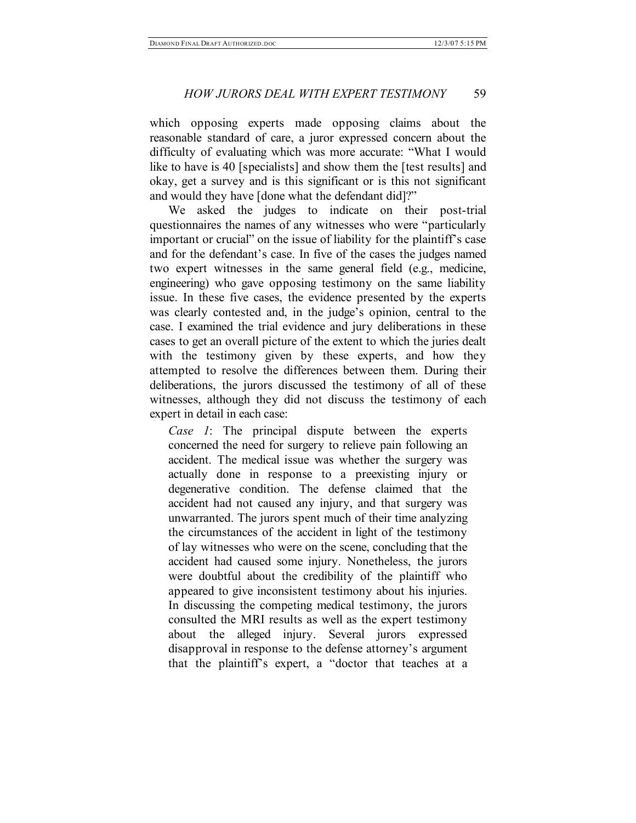which opposing experts made opposing claims about the reasonable standard of care, a juror expressed concern about the difficulty of evaluating which was more accurate: "What I would like to have is 40 [specialists] and show them the [test results] and okay, get a survey and is this significant or is this not significant and would they have [done what the defendant did]?"

We asked the judges to indicate on their post-trial questionnaires the names of any witnesses who were "particularly important or crucial" on the issue of liability for the plaintiff's case and for the defendant's case. In five of the cases the judges named two expert witnesses in the same general field (e.g., medicine, engineering) who gave opposing testimony on the same liability issue. In these five cases, the evidence presented by the experts was clearly contested and, in the judge's opinion, central to the case. I examined the trial evidence and jury deliberations in these cases to get an overall picture of the extent to which the juries dealt with the testimony given by these experts, and how they attempted to resolve the differences between them. During their deliberations, the jurors discussed the testimony of all of these witnesses, although they did not discuss the testimony of each expert in detail in each case:

*Case 1*: The principal dispute between the experts concerned the need for surgery to relieve pain following an accident. The medical issue was whether the surgery was actually done in response to a preexisting injury or degenerative condition. The defense claimed that the accident had not caused any injury, and that surgery was unwarranted. The jurors spent much of their time analyzing the circumstances of the accident in light of the testimony of lay witnesses who were on the scene, concluding that the accident had caused some injury. Nonetheless, the jurors were doubtful about the credibility of the plaintiff who appeared to give inconsistent testimony about his injuries. In discussing the competing medical testimony, the jurors consulted the MRI results as well as the expert testimony about the alleged injury. Several jurors expressed disapproval in response to the defense attorney's argument that the plaintiff's expert, a "doctor that teaches at a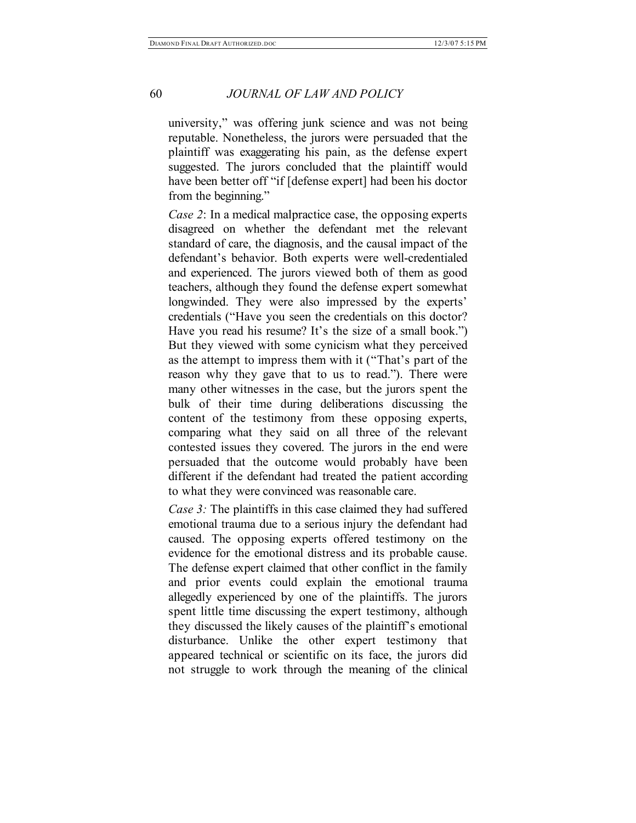university," was offering junk science and was not being reputable. Nonetheless, the jurors were persuaded that the plaintiff was exaggerating his pain, as the defense expert suggested. The jurors concluded that the plaintiff would have been better off "if [defense expert] had been his doctor from the beginning."

*Case 2*: In a medical malpractice case, the opposing experts disagreed on whether the defendant met the relevant standard of care, the diagnosis, and the causal impact of the defendant's behavior. Both experts were well-credentialed and experienced. The jurors viewed both of them as good teachers, although they found the defense expert somewhat longwinded. They were also impressed by the experts' credentials ("Have you seen the credentials on this doctor? Have you read his resume? It's the size of a small book.") But they viewed with some cynicism what they perceived as the attempt to impress them with it ("That's part of the reason why they gave that to us to read."). There were many other witnesses in the case, but the jurors spent the bulk of their time during deliberations discussing the content of the testimony from these opposing experts, comparing what they said on all three of the relevant contested issues they covered. The jurors in the end were persuaded that the outcome would probably have been different if the defendant had treated the patient according to what they were convinced was reasonable care.

*Case 3:* The plaintiffs in this case claimed they had suffered emotional trauma due to a serious injury the defendant had caused. The opposing experts offered testimony on the evidence for the emotional distress and its probable cause. The defense expert claimed that other conflict in the family and prior events could explain the emotional trauma allegedly experienced by one of the plaintiffs. The jurors spent little time discussing the expert testimony, although they discussed the likely causes of the plaintiff's emotional disturbance. Unlike the other expert testimony that appeared technical or scientific on its face, the jurors did not struggle to work through the meaning of the clinical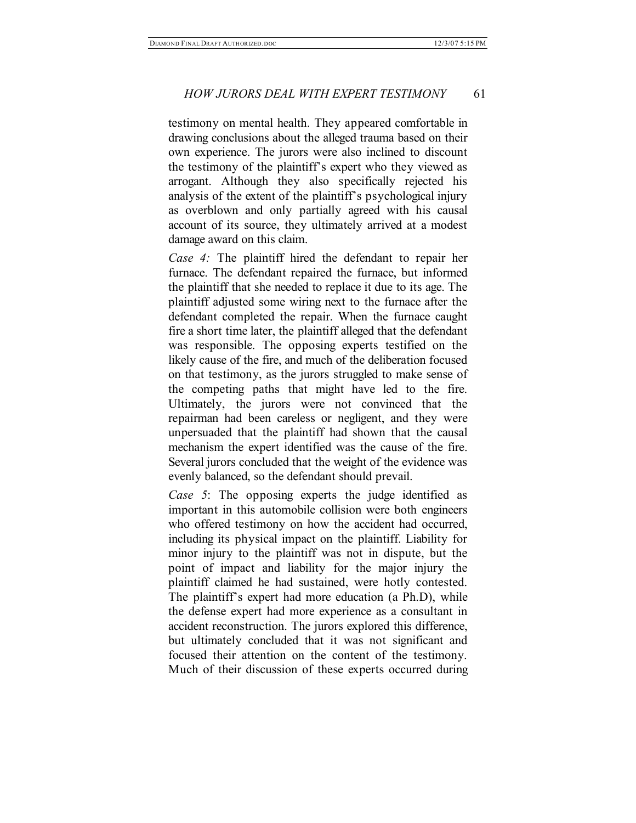testimony on mental health. They appeared comfortable in drawing conclusions about the alleged trauma based on their own experience. The jurors were also inclined to discount the testimony of the plaintiff's expert who they viewed as arrogant. Although they also specifically rejected his analysis of the extent of the plaintiff's psychological injury as overblown and only partially agreed with his causal account of its source, they ultimately arrived at a modest damage award on this claim.

*Case 4:* The plaintiff hired the defendant to repair her furnace. The defendant repaired the furnace, but informed the plaintiff that she needed to replace it due to its age. The plaintiff adjusted some wiring next to the furnace after the defendant completed the repair. When the furnace caught fire a short time later, the plaintiff alleged that the defendant was responsible. The opposing experts testified on the likely cause of the fire, and much of the deliberation focused on that testimony, as the jurors struggled to make sense of the competing paths that might have led to the fire. Ultimately, the jurors were not convinced that the repairman had been careless or negligent, and they were unpersuaded that the plaintiff had shown that the causal mechanism the expert identified was the cause of the fire. Several jurors concluded that the weight of the evidence was evenly balanced, so the defendant should prevail.

*Case 5*: The opposing experts the judge identified as important in this automobile collision were both engineers who offered testimony on how the accident had occurred, including its physical impact on the plaintiff. Liability for minor injury to the plaintiff was not in dispute, but the point of impact and liability for the major injury the plaintiff claimed he had sustained, were hotly contested. The plaintiff's expert had more education (a Ph.D), while the defense expert had more experience as a consultant in accident reconstruction. The jurors explored this difference, but ultimately concluded that it was not significant and focused their attention on the content of the testimony. Much of their discussion of these experts occurred during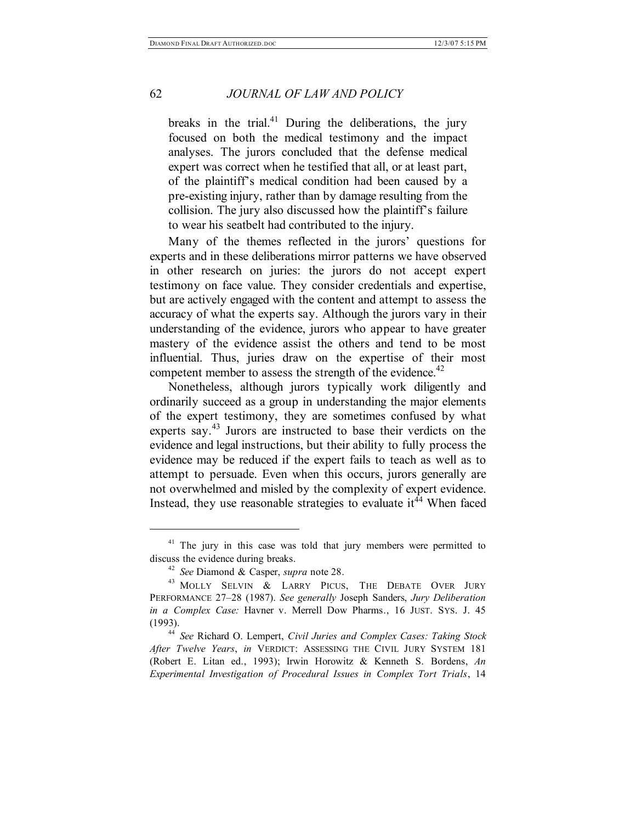breaks in the trial.<sup>41</sup> During the deliberations, the jury focused on both the medical testimony and the impact analyses. The jurors concluded that the defense medical expert was correct when he testified that all, or at least part, of the plaintiff's medical condition had been caused by a pre-existing injury, rather than by damage resulting from the collision. The jury also discussed how the plaintiff's failure to wear his seatbelt had contributed to the injury.

Many of the themes reflected in the jurors' questions for experts and in these deliberations mirror patterns we have observed in other research on juries: the jurors do not accept expert testimony on face value. They consider credentials and expertise, but are actively engaged with the content and attempt to assess the accuracy of what the experts say. Although the jurors vary in their understanding of the evidence, jurors who appear to have greater mastery of the evidence assist the others and tend to be most influential. Thus, juries draw on the expertise of their most competent member to assess the strength of the evidence.<sup>42</sup>

Nonetheless, although jurors typically work diligently and ordinarily succeed as a group in understanding the major elements of the expert testimony, they are sometimes confused by what experts say.<sup>43</sup> Jurors are instructed to base their verdicts on the evidence and legal instructions, but their ability to fully process the evidence may be reduced if the expert fails to teach as well as to attempt to persuade. Even when this occurs, jurors generally are not overwhelmed and misled by the complexity of expert evidence. Instead, they use reasonable strategies to evaluate  $it^{44}$  When faced

<sup>&</sup>lt;sup>41</sup> The jury in this case was told that jury members were permitted to discuss the evidence during breaks.

<sup>42</sup> *See* Diamond & Casper, *supra* note 28.

<sup>&</sup>lt;sup>43</sup> MOLLY SELVIN & LARRY PICUS, THE DEBATE OVER JURY PERFORMANCE 27–28 (1987). *See generally* Joseph Sanders, *Jury Deliberation in a Complex Case:* Havner v. Merrell Dow Pharms., 16 JUST. SYS. J. 45 (1993).

<sup>44</sup> *See* Richard O. Lempert, *Civil Juries and Complex Cases: Taking Stock After Twelve Years*, *in* VERDICT: ASSESSING THE CIVIL JURY SYSTEM 181 (Robert E. Litan ed., 1993); Irwin Horowitz & Kenneth S. Bordens, *An Experimental Investigation of Procedural Issues in Complex Tort Trials*, 14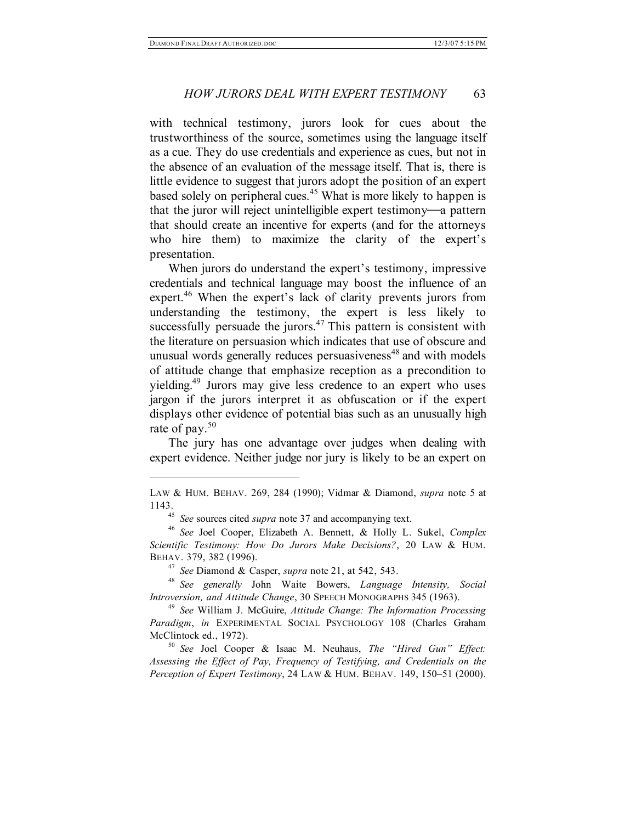with technical testimony, jurors look for cues about the trustworthiness of the source, sometimes using the language itself as a cue. They do use credentials and experience as cues, but not in the absence of an evaluation of the message itself. That is, there is little evidence to suggest that jurors adopt the position of an expert based solely on peripheral cues.<sup>45</sup> What is more likely to happen is that the juror will reject unintelligible expert testimony—a pattern that should create an incentive for experts (and for the attorneys who hire them) to maximize the clarity of the expert's presentation.

When jurors do understand the expert's testimony, impressive credentials and technical language may boost the influence of an expert. <sup>46</sup> When the expert's lack of clarity prevents jurors from understanding the testimony, the expert is less likely to successfully persuade the jurors. $47$  This pattern is consistent with the literature on persuasion which indicates that use of obscure and unusual words generally reduces persuasiveness <sup>48</sup> and with models of attitude change that emphasize reception as a precondition to yielding. <sup>49</sup> Jurors may give less credence to an expert who uses jargon if the jurors interpret it as obfuscation or if the expert displays other evidence of potential bias such as an unusually high rate of pay. 50

The jury has one advantage over judges when dealing with expert evidence. Neither judge nor jury is likely to be an expert on

 $\overline{a}$ 

<sup>47</sup> *See* Diamond & Casper, *supra* note 21, at 542, 543.

<sup>50</sup> *See* Joel Cooper & Isaac M. Neuhaus, *The "Hired Gun" Effect: Assessing the Effect of Pay, Frequency of Testifying, and Credentials on the Perception of Expert Testimony*, 24 LAW & HUM. BEHAV. 149, 150–51 (2000).

LAW & HUM. BEHAV. 269, 284 (1990); Vidmar & Diamond, *supra* note 5 at 1143.

<sup>45</sup> *See* sources cited *supra* note 37 and accompanying text.

<sup>46</sup> *See* Joel Cooper, Elizabeth A. Bennett, & Holly L. Sukel, *Complex Scientific Testimony: How Do Jurors Make Decisions?*, 20 LAW & HUM. BEHAV. 379, 382 (1996).

<sup>48</sup> *See generally* John Waite Bowers, *Language Intensity, Social Introversion, and Attitude Change*, 30 SPEECH MONOGRAPHS 345 (1963).

<sup>49</sup> *See* William J. McGuire, *Attitude Change: The Information Processing Paradigm*, *in* EXPERIMENTAL SOCIAL PSYCHOLOGY 108 (Charles Graham McClintock ed., 1972).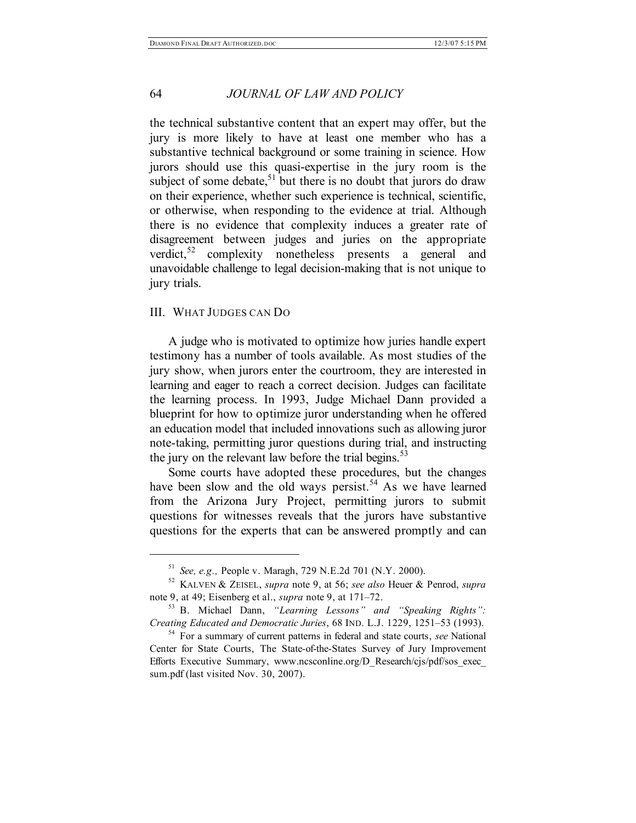the technical substantive content that an expert may offer, but the jury is more likely to have at least one member who has a substantive technical background or some training in science. How jurors should use this quasi-expertise in the jury room is the subject of some debate, $51$  but there is no doubt that jurors do draw on their experience, whether such experience is technical, scientific, or otherwise, when responding to the evidence at trial. Although there is no evidence that complexity induces a greater rate of disagreement between judges and juries on the appropriate verdict, <sup>52</sup> complexity nonetheless presents a general and unavoidable challenge to legal decision-making that is not unique to jury trials.

#### III. WHAT JUDGES CAN DO

 $\overline{a}$ 

A judge who is motivated to optimize how juries handle expert testimony has a number of tools available. As most studies of the jury show, when jurors enter the courtroom, they are interested in learning and eager to reach a correct decision. Judges can facilitate the learning process. In 1993, Judge Michael Dann provided a blueprint for how to optimize juror understanding when he offered an education model that included innovations such as allowing juror note-taking, permitting juror questions during trial, and instructing the jury on the relevant law before the trial begins.<sup>53</sup>

Some courts have adopted these procedures, but the changes have been slow and the old ways persist.<sup>54</sup> As we have learned from the Arizona Jury Project, permitting jurors to submit questions for witnesses reveals that the jurors have substantive questions for the experts that can be answered promptly and can

<sup>51</sup> *See, e.g.,* People v. Maragh, 729 N.E.2d 701 (N.Y. 2000).

<sup>52</sup> KALVEN & ZEISEL, *supra* note 9, at 56; *see also* Heuer & Penrod, *supra* note 9, at 49; Eisenberg et al., *supra* note 9, at 171–72.

<sup>53</sup> B. Michael Dann, *"Learning Lessons" and "Speaking Rights": Creating Educated and Democratic Juries*, 68 IND. L.J. 1229, 1251–53 (1993).

<sup>54</sup> For a summary of current patterns in federal and state courts, *see* National Center for State Courts, The State-of-the-States Survey of Jury Improvement Efforts Executive Summary, www.ncsconline.org/D\_Research/cjs/pdf/sos\_exec\_ sum.pdf (last visited Nov. 30, 2007).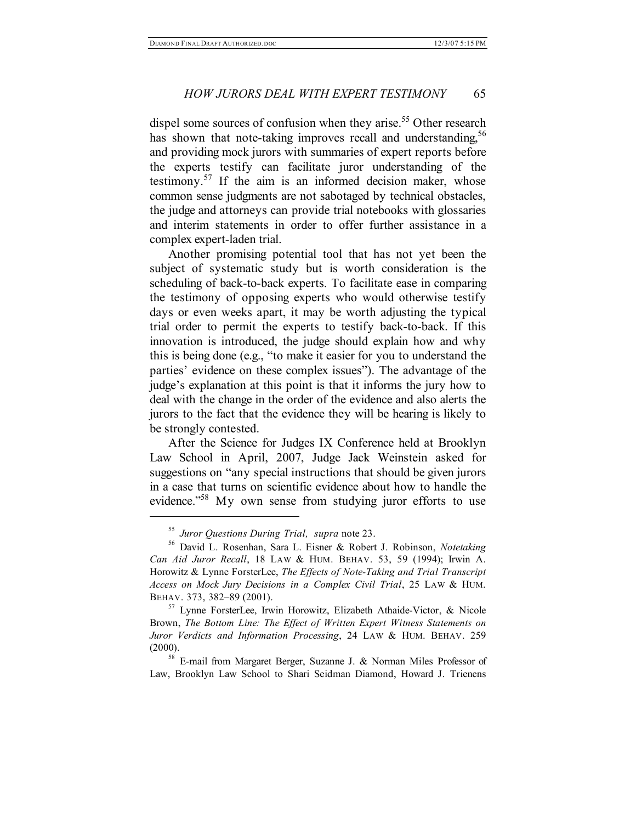dispel some sources of confusion when they arise.<sup>55</sup> Other research has shown that note-taking improves recall and understanding,<sup>56</sup> and providing mock jurors with summaries of expert reports before the experts testify can facilitate juror understanding of the testimony.<sup>57</sup> If the aim is an informed decision maker, whose common sense judgments are not sabotaged by technical obstacles, the judge and attorneys can provide trial notebooks with glossaries and interim statements in order to offer further assistance in a complex expert-laden trial.

Another promising potential tool that has not yet been the subject of systematic study but is worth consideration is the scheduling of back-to-back experts. To facilitate ease in comparing the testimony of opposing experts who would otherwise testify days or even weeks apart, it may be worth adjusting the typical trial order to permit the experts to testify back-to-back. If this innovation is introduced, the judge should explain how and why this is being done (e.g., "to make it easier for you to understand the parties' evidence on these complex issues"). The advantage of the judge's explanation at this point is that it informs the jury how to deal with the change in the order of the evidence and also alerts the jurors to the fact that the evidence they will be hearing is likely to be strongly contested.

After the Science for Judges IX Conference held at Brooklyn Law School in April, 2007, Judge Jack Weinstein asked for suggestions on "any special instructions that should be given jurors in a case that turns on scientific evidence about how to handle the evidence."<sup>58</sup> My own sense from studying juror efforts to use

<sup>55</sup> *Juror Questions During Trial, supra* note 23.

<sup>56</sup> David L. Rosenhan, Sara L. Eisner & Robert J. Robinson, *Notetaking Can Aid Juror Recall*, 18 LAW & HUM. BEHAV. 53, 59 (1994); Irwin A. Horowitz & Lynne ForsterLee, *The Effects of Note-Taking and Trial Transcript Access on Mock Jury Decisions in a Complex Civil Trial*, 25 LAW & HUM. BEHAV. 373, 382–89 (2001).

<sup>&</sup>lt;sup>57</sup> Lynne ForsterLee, Irwin Horowitz, Elizabeth Athaide-Victor, & Nicole Brown, *The Bottom Line: The Effect of Written Expert Witness Statements on Juror Verdicts and Information Processing*, 24 LAW & HUM. BEHAV. 259 (2000).

<sup>58</sup> E-mail from Margaret Berger, Suzanne J. & Norman Miles Professor of Law, Brooklyn Law School to Shari Seidman Diamond, Howard J. Trienens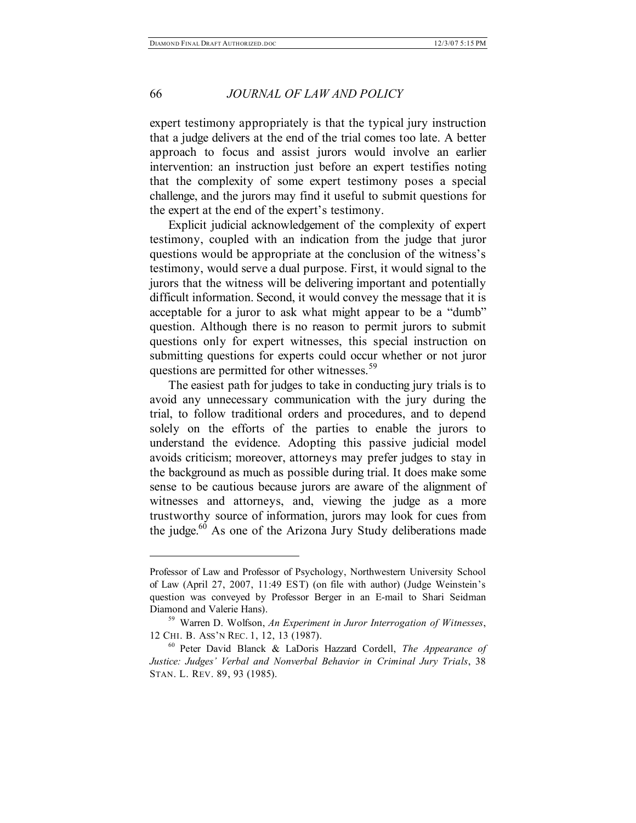#### 66 *JOURNAL OF LAW AND POLICY*

expert testimony appropriately is that the typical jury instruction that a judge delivers at the end of the trial comes too late. A better approach to focus and assist jurors would involve an earlier intervention: an instruction just before an expert testifies noting that the complexity of some expert testimony poses a special challenge, and the jurors may find it useful to submit questions for the expert at the end of the expert's testimony.

Explicit judicial acknowledgement of the complexity of expert testimony, coupled with an indication from the judge that juror questions would be appropriate at the conclusion of the witness's testimony, would serve a dual purpose. First, it would signal to the jurors that the witness will be delivering important and potentially difficult information. Second, it would convey the message that it is acceptable for a juror to ask what might appear to be a "dumb" question. Although there is no reason to permit jurors to submit questions only for expert witnesses, this special instruction on submitting questions for experts could occur whether or not juror questions are permitted for other witnesses.<sup>59</sup>

The easiest path for judges to take in conducting jury trials is to avoid any unnecessary communication with the jury during the trial, to follow traditional orders and procedures, and to depend solely on the efforts of the parties to enable the jurors to understand the evidence. Adopting this passive judicial model avoids criticism; moreover, attorneys may prefer judges to stay in the background as much as possible during trial. It does make some sense to be cautious because jurors are aware of the alignment of witnesses and attorneys, and, viewing the judge as a more trustworthy source of information, jurors may look for cues from the judge.<sup>60</sup> As one of the Arizona Jury Study deliberations made

Professor of Law and Professor of Psychology, Northwestern University School of Law (April 27, 2007, 11:49 EST) (on file with author) (Judge Weinstein's question was conveyed by Professor Berger in an E-mail to Shari Seidman Diamond and Valerie Hans).

<sup>59</sup> Warren D. Wolfson, *An Experiment in Juror Interrogation of Witnesses*, 12 CHI. B. ASS'N REC. 1, 12, 13 (1987).

<sup>60</sup> Peter David Blanck & LaDoris Hazzard Cordell, *The Appearance of Justice: Judges' Verbal and Nonverbal Behavior in Criminal Jury Trials*, 38 STAN. L. REV. 89, 93 (1985).